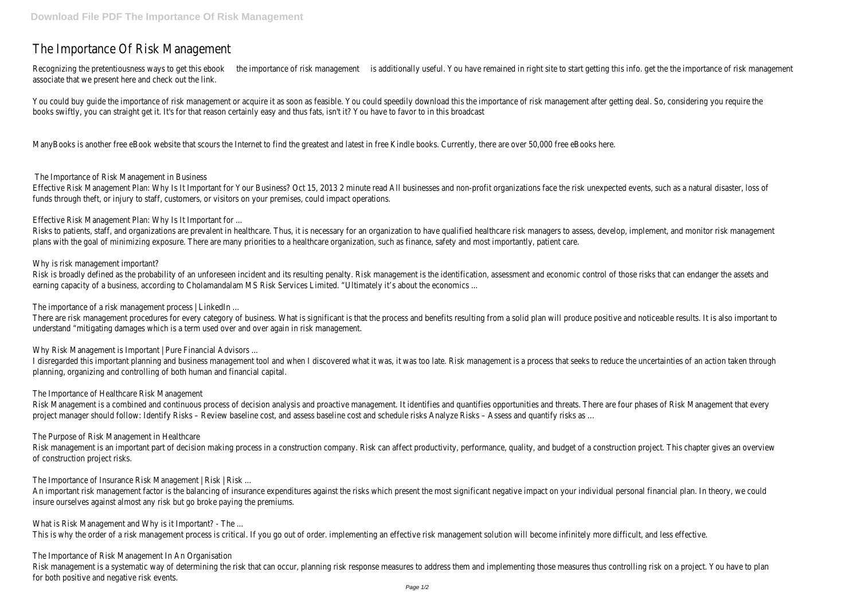## The Importance Of Risk Management

Recognizing the pretentiousness ways to get this tebook that is additionally useful. You have remained in right site to start getting this info. get the the importance of risk manage associate that we present here and check out the link.

You could buy guide the importance of risk management or acquire it as soon as feasible. You could speedily download this the importance of risk management after getting deal. So, considering you books swiftly, you can straight get it. It's for that reason certainly easy and thus fats, isn't it? You have to favor to in this broadcast

Effective Risk Management Plan: Why Is It Important for Your Business? Oct 15, 2013 2 minute read All businesses and non-profit organizations face the risk unexpected events, such as a natural di funds through theft, or injury to staff, customers, or visitors on your premises, could impact operations.

ManyBooks is another free eBook website that scours the Internet to find the greatest and latest in free Kindle books. Currently, there are over 50,000 free eBooks here.

Risks to patients, staff, and organizations are prevalent in healthcare. Thus, it is necessary for an organization to have qualified healthcare risk managers to assess, develop, implement, and monitor ri plans with the goal of minimizing exposure. There are many priorities to a healthcare organization, such as finance, safety and most importantly, patient care.

The Importance of Risk Management in Business

Risk is broadly defined as the probability of an unforeseen incident and its resulting penalty. Risk management is the identification, assessment and economic control of those risks that can endanger earning capacity of a business, according to Cholamandalam MS Risk Services Limited. "Ultimately it's about the economics ...

The importance of a risk management process | LinkedIn ...

There are risk management procedures for every category of business. What is significant is that the process and benefits resulting from a solid plan will produce positive and noticeable results. It is understand "mitigating damages which is a term used over and over again in risk management.

Why Risk Management is Important | Pure Financial Advisors ...

Effective Risk Management Plan: Why Is It Important for ...

I disregarded this important planning and business management tool and when I discovered what it was, it was too late. Risk management is a process that seeks to reduce the uncertainties of an a planning, organizing and controlling of both human and financial capital.

Risk Management is a combined and continuous process of decision analysis and proactive management. It identifies and quantifies opportunities and threats. There are four phases of Risk Managem project manager should follow: Identify Risks – Review baseline cost, and assess baseline cost and schedule risks Analyze Risks – Assess and quantify risks as …

Why is risk management important?

Risk management is an important part of decision making process in a construction company. Risk can affect productivity, performance, quality, and budget of a construction project. This chapter gives an over a struction pr of construction project risks.

The Importance of Insurance Risk Management | Risk | Risk ...

An important risk management factor is the balancing of insurance expenditures against the risks which present the most significant negative impact on your individual personal financial plan. In theory, we could be contain insure ourselves against almost any risk but go broke paying the premiums.

What is Risk Management and Why is it Important? - The ...

Risk management is a systematic way of determining the risk that can occur, planning risk response measures them and implementing those measures thus controlling risk on a project. You for both positive and negative risk events.

The Importance of Healthcare Risk Management

The Purpose of Risk Management in Healthcare

This is why the order of a risk management process is critical. If you go out of order. implementing an effective risk management solution will become infinitely more difficult, and less effective.

The Importance of Risk Management In An Organisation